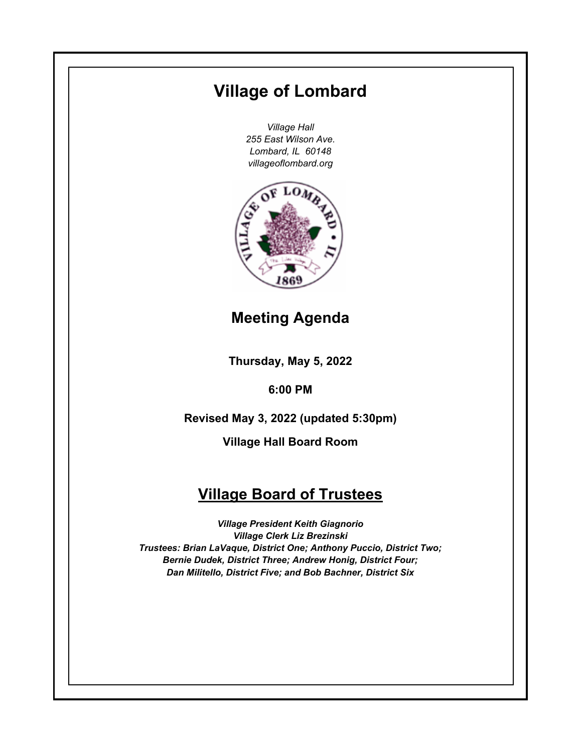# **Village of Lombard**

*Village Hall 255 East Wilson Ave. Lombard, IL 60148 villageoflombard.org*



# **Meeting Agenda**

**Thursday, May 5, 2022**

**6:00 PM**

**Revised May 3, 2022 (updated 5:30pm)**

**Village Hall Board Room**

# **Village Board of Trustees**

*Village President Keith Giagnorio Village Clerk Liz Brezinski Trustees: Brian LaVaque, District One; Anthony Puccio, District Two; Bernie Dudek, District Three; Andrew Honig, District Four; Dan Militello, District Five; and Bob Bachner, District Six*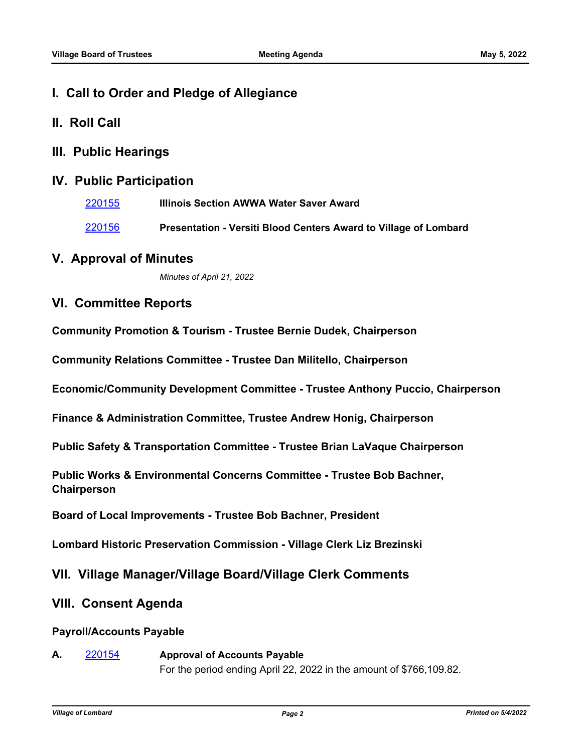- **I. Call to Order and Pledge of Allegiance**
- **II. Roll Call**
- **III. Public Hearings**

# **IV. Public Participation**

[220155](http://lombard.legistar.com/gateway.aspx?m=l&id=/matter.aspx?key=18457) **Illinois Section AWWA Water Saver Award**  [220156](http://lombard.legistar.com/gateway.aspx?m=l&id=/matter.aspx?key=18458) **Presentation - Versiti Blood Centers Award to Village of Lombard** 

# **V. Approval of Minutes**

*Minutes of April 21, 2022*

# **VI. Committee Reports**

**Community Promotion & Tourism - Trustee Bernie Dudek, Chairperson**

**Community Relations Committee - Trustee Dan Militello, Chairperson**

**Economic/Community Development Committee - Trustee Anthony Puccio, Chairperson**

**Finance & Administration Committee, Trustee Andrew Honig, Chairperson**

**Public Safety & Transportation Committee - Trustee Brian LaVaque Chairperson**

**Public Works & Environmental Concerns Committee - Trustee Bob Bachner, Chairperson**

**Board of Local Improvements - Trustee Bob Bachner, President**

**Lombard Historic Preservation Commission - Village Clerk Liz Brezinski**

# **VII. Village Manager/Village Board/Village Clerk Comments**

# **VIII. Consent Agenda**

## **Payroll/Accounts Payable**

**A.** [220154](http://lombard.legistar.com/gateway.aspx?m=l&id=/matter.aspx?key=18456) **Approval of Accounts Payable** For the period ending April 22, 2022 in the amount of \$766,109.82.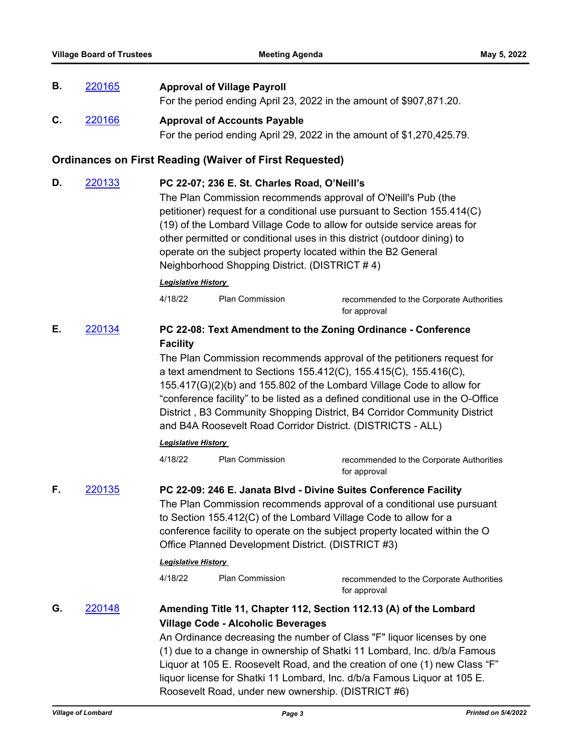**B.** [220165](http://lombard.legistar.com/gateway.aspx?m=l&id=/matter.aspx?key=18467) **Approval of Village Payroll**

|    |        |                                                                                                                                                                                                                                                                                                                                                                                                                                                                                   |                                                                | For the period ending April 23, 2022 in the amount of \$907,871.20.                                                                                                                                                                                                                                                                                                                                                                                                                                                                                                            |
|----|--------|-----------------------------------------------------------------------------------------------------------------------------------------------------------------------------------------------------------------------------------------------------------------------------------------------------------------------------------------------------------------------------------------------------------------------------------------------------------------------------------|----------------------------------------------------------------|--------------------------------------------------------------------------------------------------------------------------------------------------------------------------------------------------------------------------------------------------------------------------------------------------------------------------------------------------------------------------------------------------------------------------------------------------------------------------------------------------------------------------------------------------------------------------------|
| C. | 220166 | <b>Approval of Accounts Payable</b><br>For the period ending April 29, 2022 in the amount of \$1,270,425.79.                                                                                                                                                                                                                                                                                                                                                                      |                                                                |                                                                                                                                                                                                                                                                                                                                                                                                                                                                                                                                                                                |
|    |        |                                                                                                                                                                                                                                                                                                                                                                                                                                                                                   | <b>Ordinances on First Reading (Waiver of First Requested)</b> |                                                                                                                                                                                                                                                                                                                                                                                                                                                                                                                                                                                |
| D. | 220133 | PC 22-07; 236 E. St. Charles Road, O'Neill's<br>The Plan Commission recommends approval of O'Neill's Pub (the<br>petitioner) request for a conditional use pursuant to Section 155.414(C)<br>(19) of the Lombard Village Code to allow for outside service areas for<br>other permitted or conditional uses in this district (outdoor dining) to<br>operate on the subject property located within the B2 General<br>Neighborhood Shopping District. (DISTRICT #4)                |                                                                |                                                                                                                                                                                                                                                                                                                                                                                                                                                                                                                                                                                |
|    |        | <b>Legislative History</b><br>4/18/22                                                                                                                                                                                                                                                                                                                                                                                                                                             | Plan Commission                                                |                                                                                                                                                                                                                                                                                                                                                                                                                                                                                                                                                                                |
|    |        |                                                                                                                                                                                                                                                                                                                                                                                                                                                                                   |                                                                | recommended to the Corporate Authorities<br>for approval                                                                                                                                                                                                                                                                                                                                                                                                                                                                                                                       |
| Е. | 220134 | <b>Facility</b><br><b>Legislative History</b><br>4/18/22                                                                                                                                                                                                                                                                                                                                                                                                                          | <b>Plan Commission</b>                                         | PC 22-08: Text Amendment to the Zoning Ordinance - Conference<br>The Plan Commission recommends approval of the petitioners request for<br>a text amendment to Sections 155.412(C), 155.415(C), 155.416(C),<br>155.417(G)(2)(b) and 155.802 of the Lombard Village Code to allow for<br>"conference facility" to be listed as a defined conditional use in the O-Office<br>District, B3 Community Shopping District, B4 Corridor Community District<br>and B4A Roosevelt Road Corridor District. (DISTRICTS - ALL)<br>recommended to the Corporate Authorities<br>for approval |
| F. | 220135 | PC 22-09: 246 E. Janata Blvd - Divine Suites Conference Facility<br>The Plan Commission recommends approval of a conditional use pursuant<br>to Section 155.412(C) of the Lombard Village Code to allow for a<br>conference facility to operate on the subject property located within the O<br>Office Planned Development District. (DISTRICT #3)<br><b>Legislative History</b><br>4/18/22<br><b>Plan Commission</b><br>recommended to the Corporate Authorities<br>for approval |                                                                |                                                                                                                                                                                                                                                                                                                                                                                                                                                                                                                                                                                |
| G. | 220148 |                                                                                                                                                                                                                                                                                                                                                                                                                                                                                   | <b>Village Code - Alcoholic Beverages</b>                      | Amending Title 11, Chapter 112, Section 112.13 (A) of the Lombard<br>An Ordinance decreasing the number of Class "F" liquor licenses by one<br>(1) due to a change in ownership of Shatki 11 Lombard, Inc. d/b/a Famous<br>Liquor at 105 E. Roosevelt Road, and the creation of one (1) new Class "F"<br>liquor license for Shatki 11 Lombard, Inc. d/b/a Famous Liquor at 105 E.<br>Roosevelt Road, under new ownership. (DISTRICT #6)                                                                                                                                        |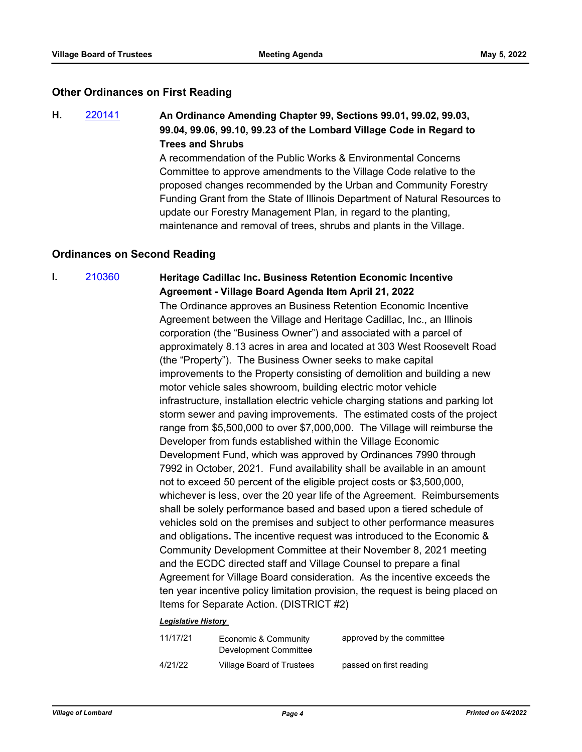#### **Other Ordinances on First Reading**

**H.** [220141](http://lombard.legistar.com/gateway.aspx?m=l&id=/matter.aspx?key=18443) **An Ordinance Amending Chapter 99, Sections 99.01, 99.02, 99.03, 99.04, 99.06, 99.10, 99.23 of the Lombard Village Code in Regard to Trees and Shrubs**

A recommendation of the Public Works & Environmental Concerns Committee to approve amendments to the Village Code relative to the proposed changes recommended by the Urban and Community Forestry Funding Grant from the State of Illinois Department of Natural Resources to update our Forestry Management Plan, in regard to the planting, maintenance and removal of trees, shrubs and plants in the Village.

#### **Ordinances on Second Reading**

# **I.** [210360](http://lombard.legistar.com/gateway.aspx?m=l&id=/matter.aspx?key=18251) **Heritage Cadillac Inc. Business Retention Economic Incentive Agreement - Village Board Agenda Item April 21, 2022**

The Ordinance approves an Business Retention Economic Incentive Agreement between the Village and Heritage Cadillac, Inc., an Illinois corporation (the "Business Owner") and associated with a parcel of approximately 8.13 acres in area and located at 303 West Roosevelt Road (the "Property"). The Business Owner seeks to make capital improvements to the Property consisting of demolition and building a new motor vehicle sales showroom, building electric motor vehicle infrastructure, installation electric vehicle charging stations and parking lot storm sewer and paving improvements. The estimated costs of the project range from \$5,500,000 to over \$7,000,000. The Village will reimburse the Developer from funds established within the Village Economic Development Fund, which was approved by Ordinances 7990 through 7992 in October, 2021. Fund availability shall be available in an amount not to exceed 50 percent of the eligible project costs or \$3,500,000, whichever is less, over the 20 year life of the Agreement. Reimbursements shall be solely performance based and based upon a tiered schedule of vehicles sold on the premises and subject to other performance measures and obligations**.** The incentive request was introduced to the Economic & Community Development Committee at their November 8, 2021 meeting and the ECDC directed staff and Village Counsel to prepare a final Agreement for Village Board consideration. As the incentive exceeds the ten year incentive policy limitation provision, the request is being placed on Items for Separate Action. (DISTRICT #2)

#### *Legislative History*

| 11/17/21 | Economic & Community<br>Development Committee | approved by the committee |
|----------|-----------------------------------------------|---------------------------|
| 4/21/22  | Village Board of Trustees                     | passed on first reading   |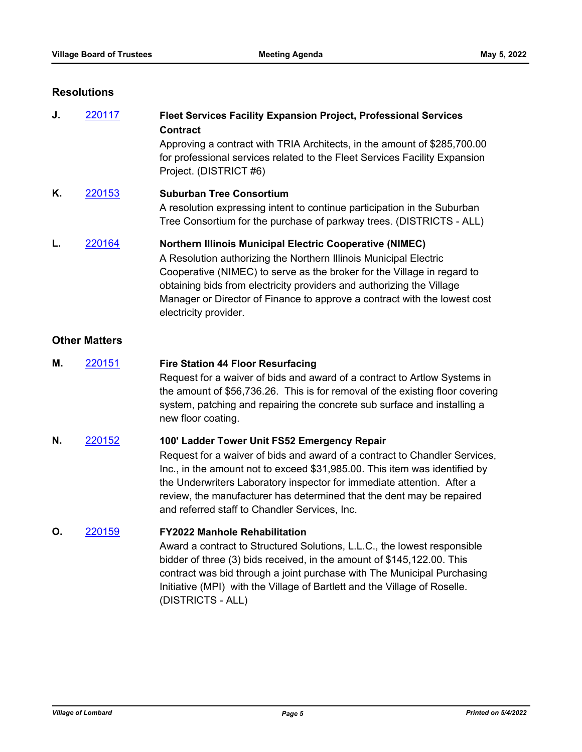#### **Resolutions**

| J. | 220117 | <b>Fleet Services Facility Expansion Project, Professional Services</b><br><b>Contract</b><br>Approving a contract with TRIA Architects, in the amount of \$285,700.00<br>for professional services related to the Fleet Services Facility Expansion<br>Project. (DISTRICT #6)                                                                                                                 |
|----|--------|------------------------------------------------------------------------------------------------------------------------------------------------------------------------------------------------------------------------------------------------------------------------------------------------------------------------------------------------------------------------------------------------|
| Κ. | 220153 | <b>Suburban Tree Consortium</b><br>A resolution expressing intent to continue participation in the Suburban<br>Tree Consortium for the purchase of parkway trees. (DISTRICTS - ALL)                                                                                                                                                                                                            |
|    | 220164 | <b>Northern Illinois Municipal Electric Cooperative (NIMEC)</b><br>A Resolution authorizing the Northern Illinois Municipal Electric<br>Cooperative (NIMEC) to serve as the broker for the Village in regard to<br>obtaining bids from electricity providers and authorizing the Village<br>Manager or Director of Finance to approve a contract with the lowest cost<br>electricity provider. |

## **Other Matters**

- **M.** [220151](http://lombard.legistar.com/gateway.aspx?m=l&id=/matter.aspx?key=18453) **Fire Station 44 Floor Resurfacing** Request for a waiver of bids and award of a contract to Artlow Systems in the amount of \$56,736.26. This is for removal of the existing floor covering system, patching and repairing the concrete sub surface and installing a new floor coating.
- **N.** [220152](http://lombard.legistar.com/gateway.aspx?m=l&id=/matter.aspx?key=18454) **100' Ladder Tower Unit FS52 Emergency Repair** Request for a waiver of bids and award of a contract to Chandler Services, Inc., in the amount not to exceed \$31,985.00. This item was identified by the Underwriters Laboratory inspector for immediate attention. After a review, the manufacturer has determined that the dent may be repaired and referred staff to Chandler Services, Inc.

**O.** [220159](http://lombard.legistar.com/gateway.aspx?m=l&id=/matter.aspx?key=18461) **FY2022 Manhole Rehabilitation** 

Award a contract to Structured Solutions, L.L.C., the lowest responsible bidder of three (3) bids received, in the amount of \$145,122.00. This contract was bid through a joint purchase with The Municipal Purchasing Initiative (MPI) with the Village of Bartlett and the Village of Roselle. (DISTRICTS - ALL)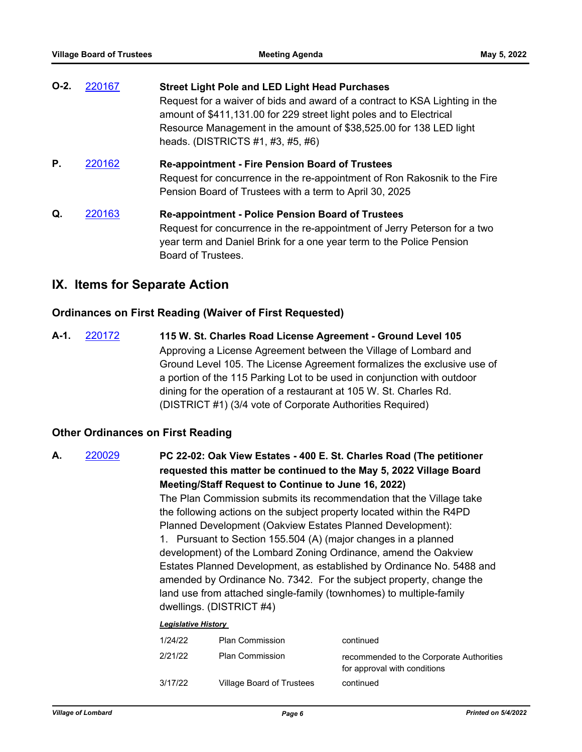| $O-2.$ | 220167 | <b>Street Light Pole and LED Light Head Purchases</b><br>Request for a waiver of bids and award of a contract to KSA Lighting in the<br>amount of \$411,131.00 for 229 street light poles and to Electrical<br>Resource Management in the amount of \$38,525.00 for 138 LED light<br>heads. (DISTRICTS #1, #3, #5, #6) |
|--------|--------|------------------------------------------------------------------------------------------------------------------------------------------------------------------------------------------------------------------------------------------------------------------------------------------------------------------------|
| Р.     | 220162 | <b>Re-appointment - Fire Pension Board of Trustees</b><br>Request for concurrence in the re-appointment of Ron Rakosnik to the Fire<br>Pension Board of Trustees with a term to April 30, 2025                                                                                                                         |
| Q.     | 220163 | <b>Re-appointment - Police Pension Board of Trustees</b><br>Request for concurrence in the re-appointment of Jerry Peterson for a two<br>year term and Daniel Brink for a one year term to the Police Pension<br>Board of Trustees.                                                                                    |

# **IX. Items for Separate Action**

## **Ordinances on First Reading (Waiver of First Requested)**

**A-1.** [220172](http://lombard.legistar.com/gateway.aspx?m=l&id=/matter.aspx?key=18474) **115 W. St. Charles Road License Agreement - Ground Level 105** Approving a License Agreement between the Village of Lombard and Ground Level 105. The License Agreement formalizes the exclusive use of a portion of the 115 Parking Lot to be used in conjunction with outdoor dining for the operation of a restaurant at 105 W. St. Charles Rd. (DISTRICT #1) (3/4 vote of Corporate Authorities Required)

## **Other Ordinances on First Reading**

**A.** [220029](http://lombard.legistar.com/gateway.aspx?m=l&id=/matter.aspx?key=18331) **PC 22-02: Oak View Estates - 400 E. St. Charles Road (The petitioner requested this matter be continued to the May 5, 2022 Village Board Meeting/Staff Request to Continue to June 16, 2022)**  The Plan Commission submits its recommendation that the Village take the following actions on the subject property located within the R4PD Planned Development (Oakview Estates Planned Development): 1. Pursuant to Section 155.504 (A) (major changes in a planned development) of the Lombard Zoning Ordinance, amend the Oakview Estates Planned Development, as established by Ordinance No. 5488 and amended by Ordinance No. 7342. For the subject property, change the land use from attached single-family (townhomes) to multiple-family dwellings. (DISTRICT #4) *Legislative History* 

| 1/24/22 | <b>Plan Commission</b>    | continued                                                                |
|---------|---------------------------|--------------------------------------------------------------------------|
| 2/21/22 | <b>Plan Commission</b>    | recommended to the Corporate Authorities<br>for approval with conditions |
| 3/17/22 | Village Board of Trustees | continued                                                                |